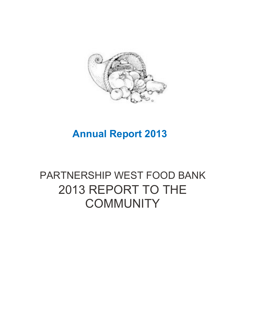

#### **Annual Report 2013**

#### PARTNERSHIP WEST FOOD BANK 2013 REPORT TO THE **COMMUNITY**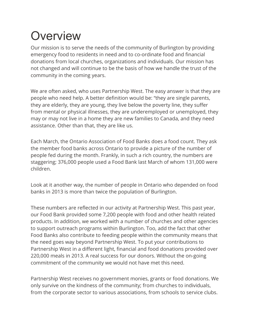### **Overview**

Our mission is to serve the needs of the community of Burlington by providing emergency food to residents in need and to co-ordinate food and financial donations from local churches, organizations and individuals. Our mission has not changed and will continue to be the basis of how we handle the trust of the community in the coming years.

We are often asked, who uses Partnership West. The easy answer is that they are people who need help. A better definition would be: "they are single parents, they are elderly, they are young, they live below the poverty line, they suffer from mental or physical illnesses, they are underemployed or unemployed, they may or may not live in a home they are new families to Canada, and they need assistance. Other than that, they are like us.

Each March, the Ontario Association of Food Banks does a food count. They ask the member food banks across Ontario to provide a picture of the number of people fed during the month. Frankly, in such a rich country, the numbers are staggering; 376,000 people used a Food Bank last March of whom 131,000 were children.

Look at it another way, the number of people in Ontario who depended on food banks in 2013 is more than twice the population of Burlington.

These numbers are reflected in our activity at Partnership West. This past year, our Food Bank provided some 7,200 people with food and other health related products. In addition, we worked with a number of churches and other agencies to support outreach programs within Burlington. Too, add the fact that other Food Banks also contribute to feeding people within the community means that the need goes way beyond Partnership West. To put your contributions to Partnership West in a different light, financial and food donations provided over 220,000 meals in 2013. A real success for our donors. Without the on-going commitment of the community we would not have met this need.

Partnership West receives no government monies, grants or food donations. We only survive on the kindness of the community; from churches to individuals, from the corporate sector to various associations, from schools to service clubs.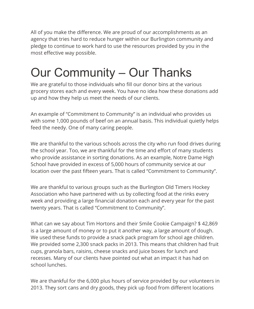All of you make the difference. We are proud of our accomplishments as an agency that tries hard to reduce hunger within our Burlington community and pledge to continue to work hard to use the resources provided by you in the most effective way possible.

## Our Community – Our Thanks

We are grateful to those individuals who fill our donor bins at the various grocery stores each and every week. You have no idea how these donations add up and how they help us meet the needs of our clients.

An example of "Commitment to Community" is an individual who provides us with some 1,000 pounds of beef on an annual basis. This individual quietly helps feed the needy. One of many caring people.

We are thankful to the various schools across the city who run food drives during the school year. Too, we are thankful for the time and effort of many students who provide assistance in sorting donations. As an example, Notre Dame High School have provided in excess of 5,000 hours of community service at our location over the past fifteen years. That is called "Commitment to Community".

We are thankful to various groups such as the Burlington Old Timers Hockey Association who have partnered with us by collecting food at the rinks every week and providing a large financial donation each and every year for the past twenty years. That is called "Commitment to Community".

What can we say about Tim Hortons and their Smile Cookie Campaign? \$ 42,869 is a large amount of money or to put it another way, a large amount of dough. We used these funds to provide a snack pack program for school age children. We provided some 2,300 snack packs in 2013. This means that children had fruit cups, granola bars, raisins, cheese snacks and juice boxes for lunch and recesses. Many of our clients have pointed out what an impact it has had on school lunches.

We are thankful for the 6,000 plus hours of service provided by our volunteers in 2013. They sort cans and dry goods, they pick up food from different locations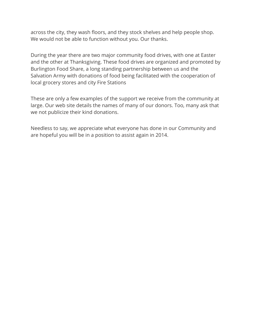across the city, they wash floors, and they stock shelves and help people shop. We would not be able to function without you. Our thanks.

During the year there are two major community food drives, with one at Easter and the other at Thanksgiving. These food drives are organized and promoted by Burlington Food Share, a long standing partnership between us and the Salvation Army with donations of food being facilitated with the cooperation of local grocery stores and city Fire Stations

These are only a few examples of the support we receive from the community at large. Our web site details the names of many of our donors. Too, many ask that we not publicize their kind donations.

Needless to say, we appreciate what everyone has done in our Community and are hopeful you will be in a position to assist again in 2014.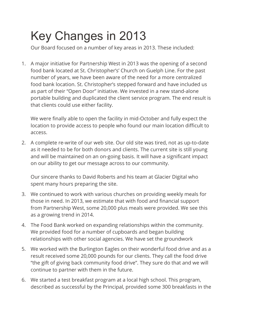# Key Changes in 2013

Our Board focused on a number of key areas in 2013. These included:

1. A major initiative for Partnership West in 2013 was the opening of a second food bank located at St. Christopher's' Church on Guelph Line. For the past number of years, we have been aware of the need for a more centralized food bank location. St. Christopher's stepped forward and have included us as part of their "Open Door" initiative. We invested in a new stand-alone portable building and duplicated the client service program. The end result is that clients could use either facility.

We were finally able to open the facility in mid-October and fully expect the location to provide access to people who found our main location difficult to access.

2. A complete re-write of our web site. Our old site was tired, not as up-to-date as it needed to be for both donors and clients. The current site is still young and will be maintained on an on-going basis. It will have a significant impact on our ability to get our message across to our community.

Our sincere thanks to David Roberts and his team at Glacier Digital who spent many hours preparing the site.

- 3. We continued to work with various churches on providing weekly meals for those in need. In 2013, we estimate that with food and financial support from Partnership West, some 20,000 plus meals were provided. We see this as a growing trend in 2014.
- 4. The Food Bank worked on expanding relationships within the community. We provided food for a number of cupboards and began building relationships with other social agencies. We have set the groundwork
- 5. We worked with the Burlington Eagles on their wonderful food drive and as a result received some 20,000 pounds for our clients. They call the food drive "the gift of giving back community food drive". They sure do that and we will continue to partner with them in the future.
- 6. We started a test breakfast program at a local high school. This program, described as successful by the Principal, provided some 300 breakfasts in the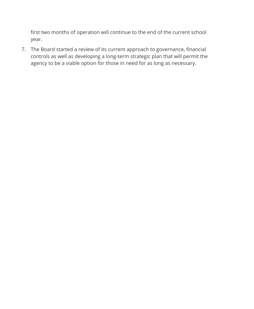first two months of operation will continue to the end of the current school year.

7. The Board started a review of its current approach to governance, financial controls as well as developing a long-term strategic plan that will permit the agency to be a viable option for those in need for as long as necessary.